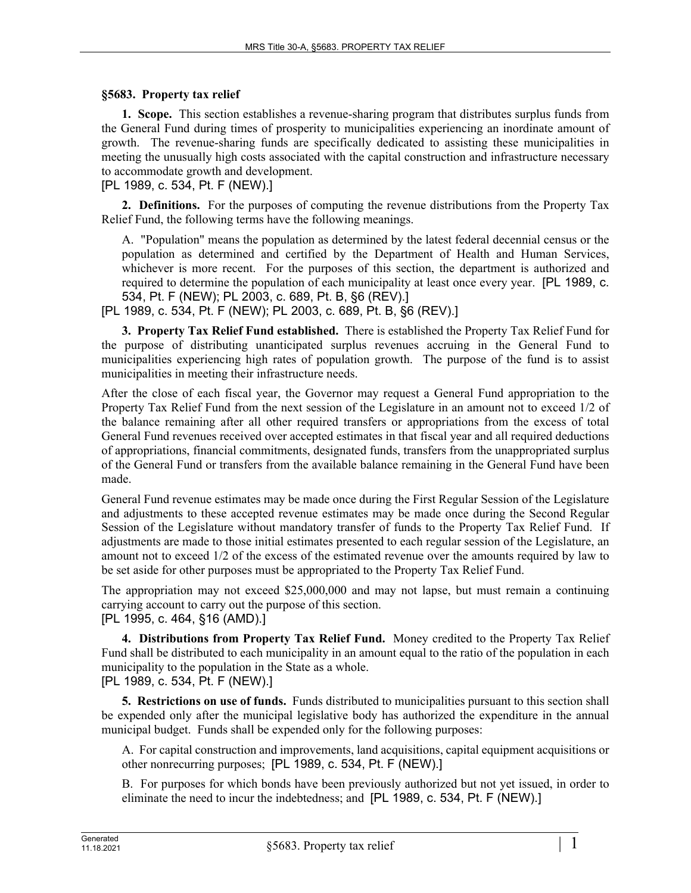## **§5683. Property tax relief**

**1. Scope.** This section establishes a revenue-sharing program that distributes surplus funds from the General Fund during times of prosperity to municipalities experiencing an inordinate amount of growth. The revenue-sharing funds are specifically dedicated to assisting these municipalities in meeting the unusually high costs associated with the capital construction and infrastructure necessary to accommodate growth and development.

[PL 1989, c. 534, Pt. F (NEW).]

**2. Definitions.** For the purposes of computing the revenue distributions from the Property Tax Relief Fund, the following terms have the following meanings.

A. "Population" means the population as determined by the latest federal decennial census or the population as determined and certified by the Department of Health and Human Services, whichever is more recent. For the purposes of this section, the department is authorized and required to determine the population of each municipality at least once every year. [PL 1989, c. 534, Pt. F (NEW); PL 2003, c. 689, Pt. B, §6 (REV).]

[PL 1989, c. 534, Pt. F (NEW); PL 2003, c. 689, Pt. B, §6 (REV).]

**3. Property Tax Relief Fund established.** There is established the Property Tax Relief Fund for the purpose of distributing unanticipated surplus revenues accruing in the General Fund to municipalities experiencing high rates of population growth. The purpose of the fund is to assist municipalities in meeting their infrastructure needs.

After the close of each fiscal year, the Governor may request a General Fund appropriation to the Property Tax Relief Fund from the next session of the Legislature in an amount not to exceed 1/2 of the balance remaining after all other required transfers or appropriations from the excess of total General Fund revenues received over accepted estimates in that fiscal year and all required deductions of appropriations, financial commitments, designated funds, transfers from the unappropriated surplus of the General Fund or transfers from the available balance remaining in the General Fund have been made.

General Fund revenue estimates may be made once during the First Regular Session of the Legislature and adjustments to these accepted revenue estimates may be made once during the Second Regular Session of the Legislature without mandatory transfer of funds to the Property Tax Relief Fund. If adjustments are made to those initial estimates presented to each regular session of the Legislature, an amount not to exceed 1/2 of the excess of the estimated revenue over the amounts required by law to be set aside for other purposes must be appropriated to the Property Tax Relief Fund.

The appropriation may not exceed \$25,000,000 and may not lapse, but must remain a continuing carrying account to carry out the purpose of this section.

[PL 1995, c. 464, §16 (AMD).]

**4. Distributions from Property Tax Relief Fund.** Money credited to the Property Tax Relief Fund shall be distributed to each municipality in an amount equal to the ratio of the population in each municipality to the population in the State as a whole. [PL 1989, c. 534, Pt. F (NEW).]

**5. Restrictions on use of funds.** Funds distributed to municipalities pursuant to this section shall be expended only after the municipal legislative body has authorized the expenditure in the annual municipal budget. Funds shall be expended only for the following purposes:

A. For capital construction and improvements, land acquisitions, capital equipment acquisitions or other nonrecurring purposes; [PL 1989, c. 534, Pt. F (NEW).]

B. For purposes for which bonds have been previously authorized but not yet issued, in order to eliminate the need to incur the indebtedness; and [PL 1989, c. 534, Pt. F (NEW).]